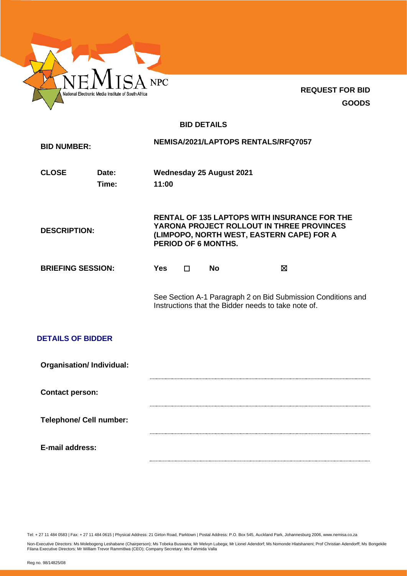

**REQUEST FOR BID GOODS**

# **BID DETAILS**

| <b>BID NUMBER:</b>              |                |                                                                                                                                                                             |   |                                 | NEMISA/2021/LAPTOPS RENTALS/RFQ7057                                                                                 |  |
|---------------------------------|----------------|-----------------------------------------------------------------------------------------------------------------------------------------------------------------------------|---|---------------------------------|---------------------------------------------------------------------------------------------------------------------|--|
| <b>CLOSE</b>                    | Date:<br>Time: | 11:00                                                                                                                                                                       |   | <b>Wednesday 25 August 2021</b> |                                                                                                                     |  |
| <b>DESCRIPTION:</b>             |                | <b>RENTAL OF 135 LAPTOPS WITH INSURANCE FOR THE</b><br>YARONA PROJECT ROLLOUT IN THREE PROVINCES<br>(LIMPOPO, NORTH WEST, EASTERN CAPE) FOR A<br><b>PERIOD OF 6 MONTHS.</b> |   |                                 |                                                                                                                     |  |
| <b>BRIEFING SESSION:</b>        |                | <b>Yes</b>                                                                                                                                                                  | п | <b>No</b>                       | X                                                                                                                   |  |
|                                 |                |                                                                                                                                                                             |   |                                 | See Section A-1 Paragraph 2 on Bid Submission Conditions and<br>Instructions that the Bidder needs to take note of. |  |
| <b>DETAILS OF BIDDER</b>        |                |                                                                                                                                                                             |   |                                 |                                                                                                                     |  |
| <b>Organisation/Individual:</b> |                |                                                                                                                                                                             |   |                                 |                                                                                                                     |  |
| <b>Contact person:</b>          |                |                                                                                                                                                                             |   |                                 |                                                                                                                     |  |
| <b>Telephone/ Cell number:</b>  |                |                                                                                                                                                                             |   |                                 |                                                                                                                     |  |
| E-mail address:                 |                |                                                                                                                                                                             |   |                                 |                                                                                                                     |  |

Tel: + 27 11 484 0583 | Fax: + 27 11 484 0615 | Physical Address: 21 Girton Road, Parktown | Postal Address: P.O. Box 545, Auckland Park, Johannesburg 2006, www.nemisa.co.za

Non-Executive Directors: Ms Molebogeng Leshabane (Chairperson); Ms Tobeka Buswana; Mr Melvyn Lubega; Mr Lionel Adendorf; Ms Nomonde Hlatshaneni; Prof Christian Adendorff; Ms Bongekile<br>Filana Executive Directors: Mr William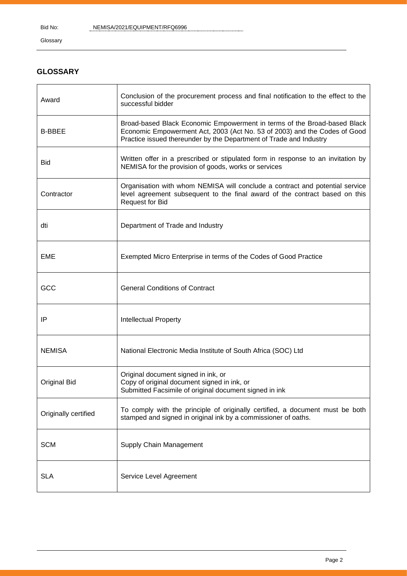Glossary

# **GLOSSARY**

| Award                | Conclusion of the procurement process and final notification to the effect to the<br>successful bidder                                                                                                                      |
|----------------------|-----------------------------------------------------------------------------------------------------------------------------------------------------------------------------------------------------------------------------|
| <b>B-BBEE</b>        | Broad-based Black Economic Empowerment in terms of the Broad-based Black<br>Economic Empowerment Act, 2003 (Act No. 53 of 2003) and the Codes of Good<br>Practice issued thereunder by the Department of Trade and Industry |
| <b>Bid</b>           | Written offer in a prescribed or stipulated form in response to an invitation by<br>NEMISA for the provision of goods, works or services                                                                                    |
| Contractor           | Organisation with whom NEMISA will conclude a contract and potential service<br>level agreement subsequent to the final award of the contract based on this<br><b>Request for Bid</b>                                       |
| dti                  | Department of Trade and Industry                                                                                                                                                                                            |
| <b>EME</b>           | Exempted Micro Enterprise in terms of the Codes of Good Practice                                                                                                                                                            |
| GCC                  | <b>General Conditions of Contract</b>                                                                                                                                                                                       |
| IP                   | <b>Intellectual Property</b>                                                                                                                                                                                                |
| <b>NEMISA</b>        | National Electronic Media Institute of South Africa (SOC) Ltd                                                                                                                                                               |
| <b>Original Bid</b>  | Original document signed in ink, or<br>Copy of original document signed in ink, or<br>Submitted Facsimile of original document signed in ink                                                                                |
| Originally certified | To comply with the principle of originally certified, a document must be both<br>stamped and signed in original ink by a commissioner of oaths.                                                                             |
| <b>SCM</b>           | Supply Chain Management                                                                                                                                                                                                     |
| <b>SLA</b>           | Service Level Agreement                                                                                                                                                                                                     |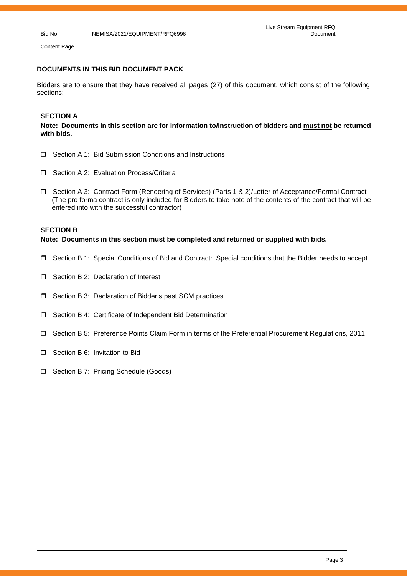Content Page

### **DOCUMENTS IN THIS BID DOCUMENT PACK**

Bidders are to ensure that they have received all pages (27) of this document, which consist of the following sections:

## **SECTION A**

**Note: Documents in this section are for information to/instruction of bidders and must not be returned with bids.**

- □ Section A 1: Bid Submission Conditions and Instructions
- □ Section A 2: Evaluation Process/Criteria
- □ Section A 3: Contract Form (Rendering of Services) (Parts 1 & 2)/Letter of Acceptance/Formal Contract (The pro forma contract is only included for Bidders to take note of the contents of the contract that will be entered into with the successful contractor)

## **SECTION B**

**Note: Documents in this section must be completed and returned or supplied with bids.**

- Section B 1: Special Conditions of Bid and Contract: Special conditions that the Bidder needs to accept
- □ Section B 2: Declaration of Interest
- □ Section B 3: Declaration of Bidder's past SCM practices
- □ Section B 4: Certificate of Independent Bid Determination
- Section B 5: Preference Points Claim Form in terms of the Preferential Procurement Regulations, 2011
- **D** Section B 6: Invitation to Bid
- **D** Section B 7: Pricing Schedule (Goods)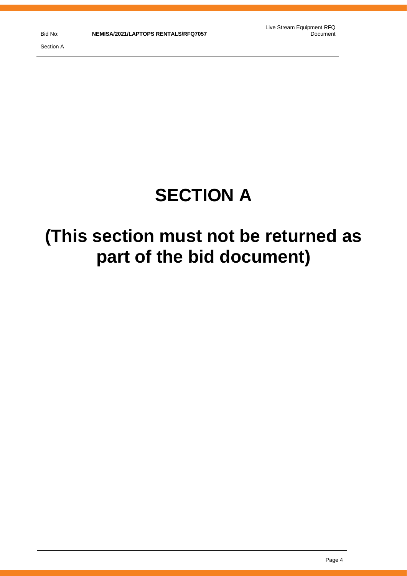Section A

# **SECTION A**

# **(This section must not be returned as part of the bid document)**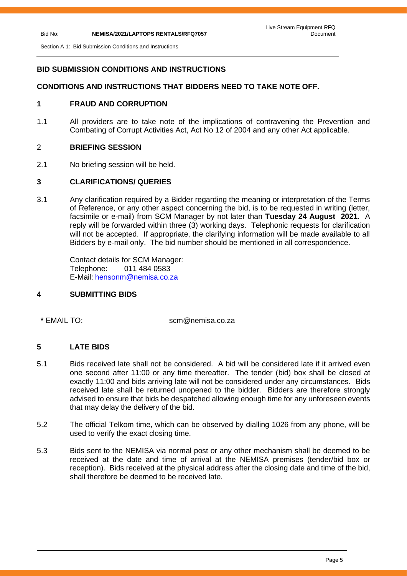Section A 1: Bid Submission Conditions and Instructions

# **BID SUBMISSION CONDITIONS AND INSTRUCTIONS**

# **CONDITIONS AND INSTRUCTIONS THAT BIDDERS NEED TO TAKE NOTE OFF.**

# **1 FRAUD AND CORRUPTION**

1.1 All providers are to take note of the implications of contravening the Prevention and Combating of Corrupt Activities Act, Act No 12 of 2004 and any other Act applicable.

# 2 **BRIEFING SESSION**

2.1 No briefing session will be held.

# **3 CLARIFICATIONS/ QUERIES**

3.1 Any clarification required by a Bidder regarding the meaning or interpretation of the Terms of Reference, or any other aspect concerning the bid, is to be requested in writing (letter, facsimile or e-mail) from SCM Manager by not later than **Tuesday 24 August 2021**. A reply will be forwarded within three (3) working days. Telephonic requests for clarification will not be accepted. If appropriate, the clarifying information will be made available to all Bidders by e-mail only. The bid number should be mentioned in all correspondence.

Contact details for SCM Manager: Telephone: 011 484 0583 E-Mail: [hensonm@nemisa.co.za](mailto:hensonm@nemisa.co.za)

# **4 SUBMITTING BIDS**

**\*** EMAIL TO: scm@nemisa.co.za

# **5 LATE BIDS**

- 5.1 Bids received late shall not be considered. A bid will be considered late if it arrived even one second after 11:00 or any time thereafter. The tender (bid) box shall be closed at exactly 11:00 and bids arriving late will not be considered under any circumstances. Bids received late shall be returned unopened to the bidder. Bidders are therefore strongly advised to ensure that bids be despatched allowing enough time for any unforeseen events that may delay the delivery of the bid.
- 5.2 The official Telkom time, which can be observed by dialling 1026 from any phone, will be used to verify the exact closing time.
- 5.3 Bids sent to the NEMISA via normal post or any other mechanism shall be deemed to be received at the date and time of arrival at the NEMISA premises (tender/bid box or reception). Bids received at the physical address after the closing date and time of the bid, shall therefore be deemed to be received late.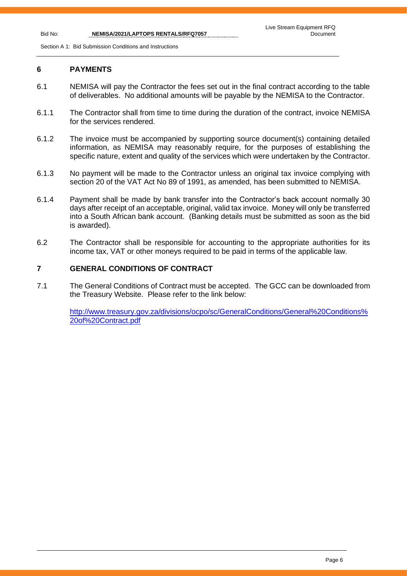Section A 1: Bid Submission Conditions and Instructions

# **6 PAYMENTS**

- 6.1 NEMISA will pay the Contractor the fees set out in the final contract according to the table of deliverables. No additional amounts will be payable by the NEMISA to the Contractor.
- 6.1.1 The Contractor shall from time to time during the duration of the contract, invoice NEMISA for the services rendered.
- 6.1.2 The invoice must be accompanied by supporting source document(s) containing detailed information, as NEMISA may reasonably require, for the purposes of establishing the specific nature, extent and quality of the services which were undertaken by the Contractor.
- 6.1.3 No payment will be made to the Contractor unless an original tax invoice complying with section 20 of the VAT Act No 89 of 1991, as amended, has been submitted to NEMISA.
- 6.1.4 Payment shall be made by bank transfer into the Contractor's back account normally 30 days after receipt of an acceptable, original, valid tax invoice. Money will only be transferred into a South African bank account. (Banking details must be submitted as soon as the bid is awarded).
- 6.2 The Contractor shall be responsible for accounting to the appropriate authorities for its income tax, VAT or other moneys required to be paid in terms of the applicable law.

# **7 GENERAL CONDITIONS OF CONTRACT**

7.1 The General Conditions of Contract must be accepted. The GCC can be downloaded from the Treasury Website. Please refer to the link below:

[http://www.treasury.gov.za/divisions/ocpo/sc/GeneralConditions/General%20Conditions%](http://www.treasury.gov.za/divisions/ocpo/sc/GeneralConditions/General%20Conditions%20of%20Contract.pdf) [20of%20Contract.pdf](http://www.treasury.gov.za/divisions/ocpo/sc/GeneralConditions/General%20Conditions%20of%20Contract.pdf)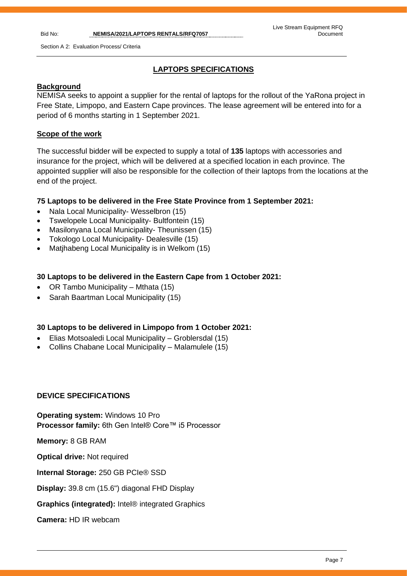# **LAPTOPS SPECIFICATIONS**

# **Background**

NEMISA seeks to appoint a supplier for the rental of laptops for the rollout of the YaRona project in Free State, Limpopo, and Eastern Cape provinces. The lease agreement will be entered into for a period of 6 months starting in 1 September 2021.

# **Scope of the work**

The successful bidder will be expected to supply a total of **135** laptops with accessories and insurance for the project, which will be delivered at a specified location in each province. The appointed supplier will also be responsible for the collection of their laptops from the locations at the end of the project.

# **75 Laptops to be delivered in the Free State Province from 1 September 2021:**

- Nala Local Municipality- Wesselbron (15)
- Tswelopele Local Municipality- Bultfontein (15)
- Masilonyana Local Municipality- Theunissen (15)
- Tokologo Local Municipality- Dealesville (15)
- Matjhabeng Local Municipality is in Welkom (15)

# **30 Laptops to be delivered in the Eastern Cape from 1 October 2021:**

- OR Tambo Municipality Mthata (15)
- Sarah Baartman Local Municipality (15)

# **30 Laptops to be delivered in Limpopo from 1 October 2021:**

- Elias Motsoaledi Local Municipality Groblersdal (15)
- Collins Chabane Local Municipality Malamulele (15)

# **DEVICE SPECIFICATIONS**

**Operating system:** Windows 10 Pro **Processor family:** 6th Gen Intel® Core™ i5 Processor

**Memory:** 8 GB RAM

**Optical drive:** Not required

**Internal Storage:** 250 GB PCIe® SSD

**Display:** 39.8 cm (15.6") diagonal FHD Display

**Graphics (integrated):** Intel® integrated Graphics

**Camera:** HD IR webcam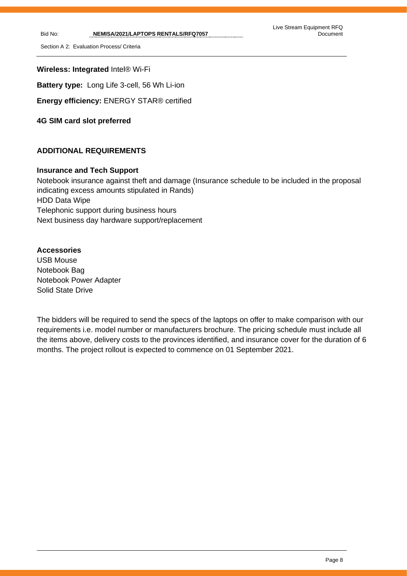Section A 2: Evaluation Process/ Criteria

**Wireless: Integrated** Intel® Wi-Fi

**Battery type:** Long Life 3-cell, 56 Wh Li-ion

**Energy efficiency:** ENERGY STAR® certified

**4G SIM card slot preferred** 

# **ADDITIONAL REQUIREMENTS**

# **Insurance and Tech Support**

Notebook insurance against theft and damage (Insurance schedule to be included in the proposal indicating excess amounts stipulated in Rands) HDD Data Wipe Telephonic support during business hours Next business day hardware support/replacement

# **Accessories**

USB Mouse Notebook Bag Notebook Power Adapter Solid State Drive

The bidders will be required to send the specs of the laptops on offer to make comparison with our requirements i.e. model number or manufacturers brochure. The pricing schedule must include all the items above, delivery costs to the provinces identified, and insurance cover for the duration of 6 months. The project rollout is expected to commence on 01 September 2021.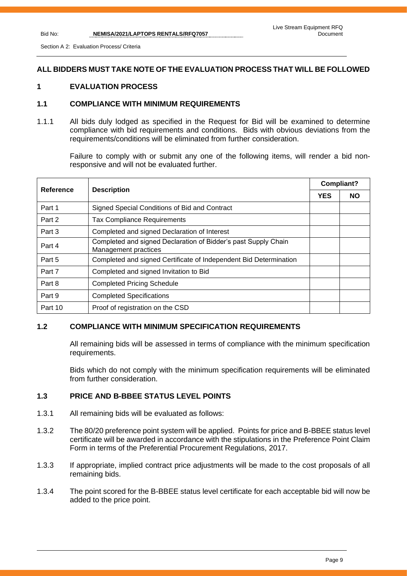Section A 2: Evaluation Process/ Criteria

# **ALL BIDDERS MUST TAKE NOTE OF THE EVALUATION PROCESS THAT WILL BE FOLLOWED**

# **1 EVALUATION PROCESS**

## **1.1 COMPLIANCE WITH MINIMUM REQUIREMENTS**

1.1.1 All bids duly lodged as specified in the Request for Bid will be examined to determine compliance with bid requirements and conditions. Bids with obvious deviations from the requirements/conditions will be eliminated from further consideration.

Failure to comply with or submit any one of the following items, will render a bid nonresponsive and will not be evaluated further.

| Reference | <b>Description</b>                                                                     |  | Compliant? |  |
|-----------|----------------------------------------------------------------------------------------|--|------------|--|
|           |                                                                                        |  | <b>NO</b>  |  |
| Part 1    | Signed Special Conditions of Bid and Contract                                          |  |            |  |
| Part 2    | <b>Tax Compliance Requirements</b>                                                     |  |            |  |
| Part 3    | Completed and signed Declaration of Interest                                           |  |            |  |
| Part 4    | Completed and signed Declaration of Bidder's past Supply Chain<br>Management practices |  |            |  |
| Part 5    | Completed and signed Certificate of Independent Bid Determination                      |  |            |  |
| Part 7    | Completed and signed Invitation to Bid                                                 |  |            |  |
| Part 8    | <b>Completed Pricing Schedule</b>                                                      |  |            |  |
| Part 9    | <b>Completed Specifications</b>                                                        |  |            |  |
| Part 10   | Proof of registration on the CSD                                                       |  |            |  |

# **1.2 COMPLIANCE WITH MINIMUM SPECIFICATION REQUIREMENTS**

All remaining bids will be assessed in terms of compliance with the minimum specification requirements.

Bids which do not comply with the minimum specification requirements will be eliminated from further consideration.

# **1.3 PRICE AND B-BBEE STATUS LEVEL POINTS**

- 1.3.1 All remaining bids will be evaluated as follows:
- 1.3.2 The 80/20 preference point system will be applied. Points for price and B-BBEE status level certificate will be awarded in accordance with the stipulations in the Preference Point Claim Form in terms of the Preferential Procurement Regulations, 2017.
- 1.3.3 If appropriate, implied contract price adjustments will be made to the cost proposals of all remaining bids.
- 1.3.4 The point scored for the B-BBEE status level certificate for each acceptable bid will now be added to the price point.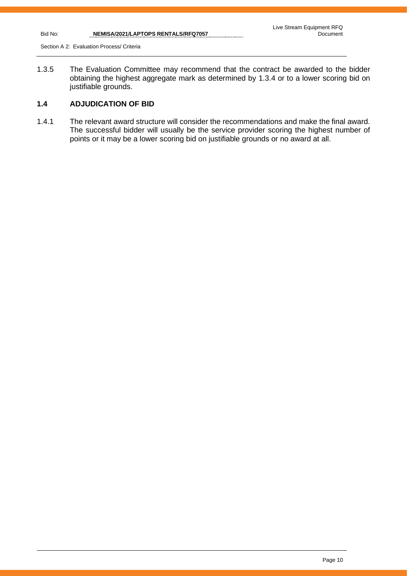Section A 2: Evaluation Process/ Criteria

1.3.5 The Evaluation Committee may recommend that the contract be awarded to the bidder obtaining the highest aggregate mark as determined by 1.3.4 or to a lower scoring bid on justifiable grounds.

# **1.4 ADJUDICATION OF BID**

1.4.1 The relevant award structure will consider the recommendations and make the final award. The successful bidder will usually be the service provider scoring the highest number of points or it may be a lower scoring bid on justifiable grounds or no award at all.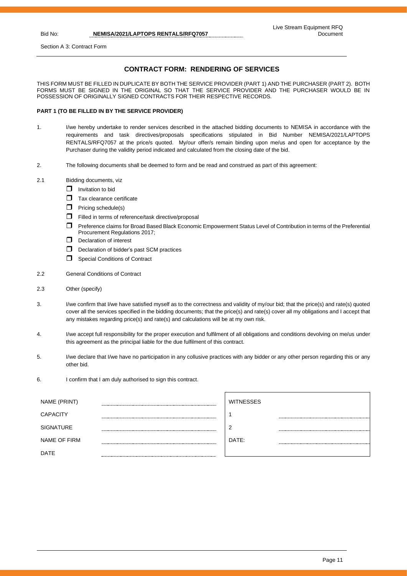Section A 3: Contract Form

# **CONTRACT FORM: RENDERING OF SERVICES**

THIS FORM MUST BE FILLED IN DUPLICATE BY BOTH THE SERVICE PROVIDER (PART 1) AND THE PURCHASER (PART 2). BOTH FORMS MUST BE SIGNED IN THE ORIGINAL SO THAT THE SERVICE PROVIDER AND THE PURCHASER WOULD BE IN POSSESSION OF ORIGINALLY SIGNED CONTRACTS FOR THEIR RESPECTIVE RECORDS.

#### **PART 1 (TO BE FILLED IN BY THE SERVICE PROVIDER)**

- 1. I/we hereby undertake to render services described in the attached bidding documents to NEMISA in accordance with the requirements and task directives/proposals specifications stipulated in Bid Number NEMISA/2021/LAPTOPS RENTALS/RFQ7057 at the price/s quoted. My/our offer/s remain binding upon me/us and open for acceptance by the Purchaser during the validity period indicated and calculated from the closing date of the bid.
- 2. The following documents shall be deemed to form and be read and construed as part of this agreement:
- 2.1 Bidding documents, viz
	- $\Box$  Invitation to bid
	- Tax clearance certificate
	- $\Box$  Pricing schedule(s)
	- $\Box$  Filled in terms of reference/task directive/proposal
	- Preference claims for Broad Based Black Economic Empowerment Status Level of Contribution in terms of the Preferential Procurement Regulations 2017;
	- $\Box$  Declaration of interest
	- D Declaration of bidder's past SCM practices
	- Special Conditions of Contract
- 2.2 General Conditions of Contract
- 2.3 Other (specify)
- 3. I/we confirm that I/we have satisfied myself as to the correctness and validity of my/our bid; that the price(s) and rate(s) quoted cover all the services specified in the bidding documents; that the price(s) and rate(s) cover all my obligations and I accept that any mistakes regarding price(s) and rate(s) and calculations will be at my own risk.
- 4. I/we accept full responsibility for the proper execution and fulfilment of all obligations and conditions devolving on me/us under this agreement as the principal liable for the due fulfilment of this contract.
- 5. I/we declare that I/we have no participation in any collusive practices with any bidder or any other person regarding this or any other bid.
- 6. I confirm that I am duly authorised to sign this contract.

| NAME (PRINT)     | <b>WITNESSES</b> |  |
|------------------|------------------|--|
| <b>CAPACITY</b>  |                  |  |
| <b>SIGNATURE</b> | c                |  |
| NAME OF FIRM     | DATE:            |  |
| <b>DATE</b>      |                  |  |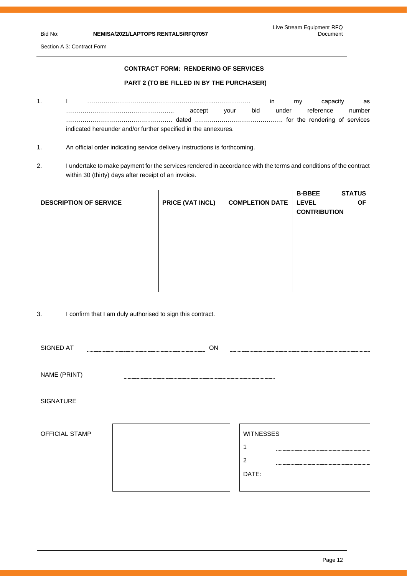Section A 3: Contract Form

## **CONTRACT FORM: RENDERING OF SERVICES**

### **PART 2 (TO BE FILLED IN BY THE PURCHASER)**

- 1. I ……………………………………………………..……………… in my capacity as …………………………………………….. accept your bid under reference number ……………………………………………. dated ……………………………………. for the rendering of services indicated hereunder and/or further specified in the annexures.
- 1. An official order indicating service delivery instructions is forthcoming.
- 2. I undertake to make payment for the services rendered in accordance with the terms and conditions of the contract within 30 (thirty) days after receipt of an invoice.

| <b>DESCRIPTION OF SERVICE</b> | PRICE (VAT INCL) | <b>COMPLETION DATE</b> | <b>STATUS</b><br><b>B-BBEE</b><br><b>LEVEL</b><br><b>OF</b><br><b>CONTRIBUTION</b> |
|-------------------------------|------------------|------------------------|------------------------------------------------------------------------------------|
|                               |                  |                        |                                                                                    |
|                               |                  |                        |                                                                                    |
|                               |                  |                        |                                                                                    |

3. I confirm that I am duly authorised to sign this contract.

| SIGNED AT        | ΟN                        |                                             |
|------------------|---------------------------|---------------------------------------------|
| NAME (PRINT)     | ------------------------- |                                             |
| <b>SIGNATURE</b> |                           |                                             |
| OFFICIAL STAMP   |                           | <b>WITNESSES</b><br>$\overline{2}$<br>DATE: |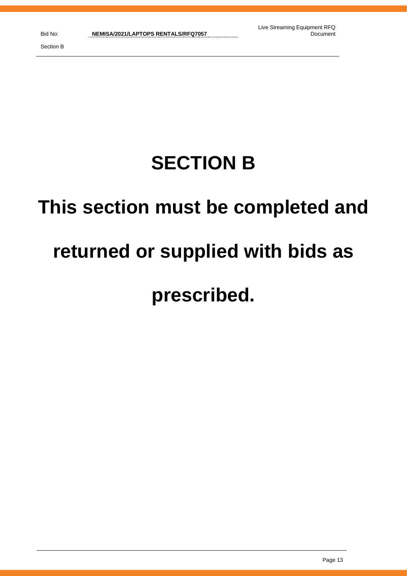# **SECTION B**

# **This section must be completed and**

# **returned or supplied with bids as**

# **prescribed.**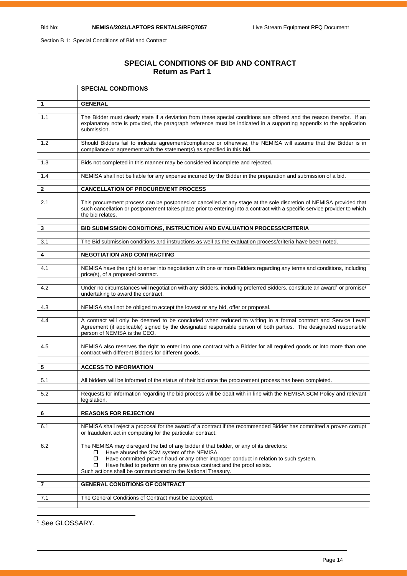Section B 1: Special Conditions of Bid and Contract

# **SPECIAL CONDITIONS OF BID AND CONTRACT Return as Part 1**

|                | <b>SPECIAL CONDITIONS</b>                                                                                                                                                                                                                                                                                                                                                             |
|----------------|---------------------------------------------------------------------------------------------------------------------------------------------------------------------------------------------------------------------------------------------------------------------------------------------------------------------------------------------------------------------------------------|
|                |                                                                                                                                                                                                                                                                                                                                                                                       |
| $\mathbf{1}$   | <b>GENERAL</b>                                                                                                                                                                                                                                                                                                                                                                        |
| 1.1            | The Bidder must clearly state if a deviation from these special conditions are offered and the reason therefor. If an<br>explanatory note is provided, the paragraph reference must be indicated in a supporting appendix to the application<br>submission.                                                                                                                           |
| 1.2            | Should Bidders fail to indicate agreement/compliance or otherwise, the NEMISA will assume that the Bidder is in<br>compliance or agreement with the statement(s) as specified in this bid.                                                                                                                                                                                            |
| 1.3            | Bids not completed in this manner may be considered incomplete and rejected.                                                                                                                                                                                                                                                                                                          |
| 1.4            | NEMISA shall not be liable for any expense incurred by the Bidder in the preparation and submission of a bid.                                                                                                                                                                                                                                                                         |
| $\mathbf{2}$   | <b>CANCELLATION OF PROCUREMENT PROCESS</b>                                                                                                                                                                                                                                                                                                                                            |
| 2.1            | This procurement process can be postponed or cancelled at any stage at the sole discretion of NEMISA provided that<br>such cancellation or postponement takes place prior to entering into a contract with a specific service provider to which<br>the bid relates.                                                                                                                   |
| 3              | BID SUBMISSION CONDITIONS, INSTRUCTION AND EVALUATION PROCESS/CRITERIA                                                                                                                                                                                                                                                                                                                |
| 3.1            | The Bid submission conditions and instructions as well as the evaluation process/criteria have been noted.                                                                                                                                                                                                                                                                            |
| 4              | <b>NEGOTIATION AND CONTRACTING</b>                                                                                                                                                                                                                                                                                                                                                    |
| 4.1            | NEMISA have the right to enter into negotiation with one or more Bidders regarding any terms and conditions, including<br>price(s), of a proposed contract.                                                                                                                                                                                                                           |
| 4.2            | Under no circumstances will negotiation with any Bidders, including preferred Bidders, constitute an award <sup>1</sup> or promise/<br>undertaking to award the contract.                                                                                                                                                                                                             |
| 4.3            | NEMISA shall not be obliged to accept the lowest or any bid, offer or proposal.                                                                                                                                                                                                                                                                                                       |
| 4.4            | A contract will only be deemed to be concluded when reduced to writing in a formal contract and Service Level<br>Agreement (if applicable) signed by the designated responsible person of both parties. The designated responsible<br>person of NEMISA is the CEO.                                                                                                                    |
| 4.5            | NEMISA also reserves the right to enter into one contract with a Bidder for all required goods or into more than one<br>contract with different Bidders for different goods.                                                                                                                                                                                                          |
| 5              | <b>ACCESS TO INFORMATION</b>                                                                                                                                                                                                                                                                                                                                                          |
| 5.1            | All bidders will be informed of the status of their bid once the procurement process has been completed.                                                                                                                                                                                                                                                                              |
| 5.2            | Requests for information regarding the bid process will be dealt with in line with the NEMISA SCM Policy and relevant<br>legislation.                                                                                                                                                                                                                                                 |
| 6              | <b>REASONS FOR REJECTION</b>                                                                                                                                                                                                                                                                                                                                                          |
| 6.1            | NEMISA shall reject a proposal for the award of a contract if the recommended Bidder has committed a proven corrupt<br>or fraudulent act in competing for the particular contract.                                                                                                                                                                                                    |
| 6.2            | The NEMISA may disregard the bid of any bidder if that bidder, or any of its directors:<br>Have abused the SCM system of the NEMISA.<br>◻<br>Have committed proven fraud or any other improper conduct in relation to such system.<br>◻<br>Have failed to perform on any previous contract and the proof exists.<br>0<br>Such actions shall be communicated to the National Treasury. |
| $\overline{7}$ | <b>GENERAL CONDITIONS OF CONTRACT</b>                                                                                                                                                                                                                                                                                                                                                 |
| 7.1            | The General Conditions of Contract must be accepted.                                                                                                                                                                                                                                                                                                                                  |

<sup>1</sup> See GLOSSARY.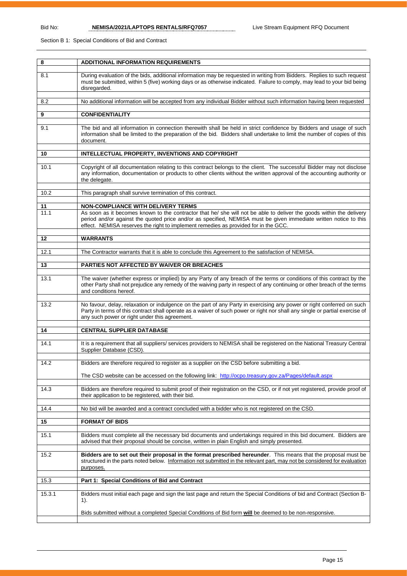Section B 1: Special Conditions of Bid and Contract

| 8      | <b>ADDITIONAL INFORMATION REQUIREMENTS</b>                                                                                                                                                                                                                                                                                       |
|--------|----------------------------------------------------------------------------------------------------------------------------------------------------------------------------------------------------------------------------------------------------------------------------------------------------------------------------------|
| 8.1    | During evaluation of the bids, additional information may be requested in writing from Bidders. Replies to such request<br>must be submitted, within 5 (five) working days or as otherwise indicated. Failure to comply, may lead to your bid being<br>disregarded.                                                              |
| 8.2    | No additional information will be accepted from any individual Bidder without such information having been requested                                                                                                                                                                                                             |
| 9      | <b>CONFIDENTIALITY</b>                                                                                                                                                                                                                                                                                                           |
| 9.1    | The bid and all information in connection therewith shall be held in strict confidence by Bidders and usage of such<br>information shall be limited to the preparation of the bid. Bidders shall undertake to limit the number of copies of this<br>document.                                                                    |
| 10     | INTELLECTUAL PROPERTY, INVENTIONS AND COPYRIGHT                                                                                                                                                                                                                                                                                  |
| 10.1   | Copyright of all documentation relating to this contract belongs to the client. The successful Bidder may not disclose<br>any information, documentation or products to other clients without the written approval of the accounting authority or<br>the delegate.                                                               |
| 10.2   | This paragraph shall survive termination of this contract.                                                                                                                                                                                                                                                                       |
| 11     | <b>NON-COMPLIANCE WITH DELIVERY TERMS</b>                                                                                                                                                                                                                                                                                        |
| 11.1   | As soon as it becomes known to the contractor that he/ she will not be able to deliver the goods within the delivery<br>period and/or against the quoted price and/or as specified, NEMISA must be given immediate written notice to this<br>effect. NEMISA reserves the right to implement remedies as provided for in the GCC. |
| 12     | <b>WARRANTS</b>                                                                                                                                                                                                                                                                                                                  |
| 12.1   | The Contractor warrants that it is able to conclude this Agreement to the satisfaction of NEMISA.                                                                                                                                                                                                                                |
| 13     | PARTIES NOT AFFECTED BY WAIVER OR BREACHES                                                                                                                                                                                                                                                                                       |
| 13.1   | The waiver (whether express or implied) by any Party of any breach of the terms or conditions of this contract by the<br>other Party shall not prejudice any remedy of the waiving party in respect of any continuing or other breach of the terms<br>and conditions hereof.                                                     |
| 13.2   | No favour, delay, relaxation or indulgence on the part of any Party in exercising any power or right conferred on such<br>Party in terms of this contract shall operate as a waiver of such power or right nor shall any single or partial exercise of<br>any such power or right under this agreement.                          |
| 14     | <b>CENTRAL SUPPLIER DATABASE</b>                                                                                                                                                                                                                                                                                                 |
| 14.1   | It is a requirement that all suppliers/ services providers to NEMISA shall be registered on the National Treasury Central<br>Supplier Database (CSD).                                                                                                                                                                            |
| 14.2   | Bidders are therefore required to register as a supplier on the CSD before submitting a bid.                                                                                                                                                                                                                                     |
|        | The CSD website can be accessed on the following link: http://ocpo.treasury.gov.za/Pages/default.aspx                                                                                                                                                                                                                            |
| 14.3   | Bidders are therefore required to submit proof of their registration on the CSD, or if not yet registered, provide proof of<br>their application to be registered, with their bid.                                                                                                                                               |
| 14.4   | No bid will be awarded and a contract concluded with a bidder who is not registered on the CSD.                                                                                                                                                                                                                                  |
| 15     | <b>FORMAT OF BIDS</b>                                                                                                                                                                                                                                                                                                            |
| 15.1   | Bidders must complete all the necessary bid documents and undertakings required in this bid document. Bidders are<br>advised that their proposal should be concise, written in plain English and simply presented.                                                                                                               |
| 15.2   | Bidders are to set out their proposal in the format prescribed hereunder. This means that the proposal must be<br>structured in the parts noted below. Information not submitted in the relevant part, may not be considered for evaluation<br>purposes.                                                                         |
| 15.3   | Part 1: Special Conditions of Bid and Contract                                                                                                                                                                                                                                                                                   |
| 15.3.1 | Bidders must initial each page and sign the last page and return the Special Conditions of bid and Contract (Section B-<br>$1$ ).                                                                                                                                                                                                |
|        | Bids submitted without a completed Special Conditions of Bid form will be deemed to be non-responsive.                                                                                                                                                                                                                           |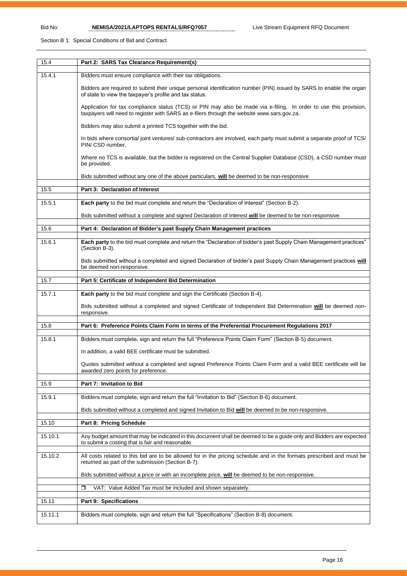### Section B 1: Special Conditions of Bid and Contract

| 15.4    | Part 2: SARS Tax Clearance Requirement(s)                                                                                                                                                                       |
|---------|-----------------------------------------------------------------------------------------------------------------------------------------------------------------------------------------------------------------|
| 15.4.1  | Bidders must ensure compliance with their tax obligations.                                                                                                                                                      |
|         | Bidders are required to submit their unique personal identification number (PIN) issued by SARS to enable the organ<br>of state to view the taxpayer's profile and tax status.                                  |
|         | Application for tax compliance status (TCS) or PIN may also be made via e-filing. In order to use this provision,<br>taxpayers will need to register with SARS as e-filers through the website www.sars.gov.za. |
|         | Bidders may also submit a printed TCS together with the bid.                                                                                                                                                    |
|         | In bids where consortia/ joint ventures/ sub-contractors are involved, each party must submit a separate proof of TCS/<br>PIN/ CSD number.                                                                      |
|         | Where no TCS is available, but the bidder is registered on the Central Supplier Database (CSD), a CSD number must<br>be provided.                                                                               |
|         | Bids submitted without any one of the above particulars, will be deemed to be non-responsive.                                                                                                                   |
| 15.5    | Part 3: Declaration of Interest                                                                                                                                                                                 |
| 15.5.1  | Each party to the bid must complete and return the "Declaration of Interest" (Section B-2).                                                                                                                     |
|         | Bids submitted without a complete and signed Declaration of Interest will be deemed to be non-responsive.                                                                                                       |
| 15.6    | Part 4: Declaration of Bidder's past Supply Chain Management practices                                                                                                                                          |
|         |                                                                                                                                                                                                                 |
| 15.6.1  | Each party to the bid must complete and return the "Declaration of bidder's past Supply Chain Management practices"<br>(Section B-3).                                                                           |
|         | Bids submitted without a completed and signed Declaration of bidder's past Supply Chain Management practices will<br>be deemed non-responsive.                                                                  |
| 15.7    | Part 5: Certificate of Independent Bid Determination                                                                                                                                                            |
| 15.7.1  | Each party to the bid must complete and sign the Certificate (Section B-4).                                                                                                                                     |
|         | Bids submitted without a completed and signed Certificate of Independent Bid Determination will be deemed non-<br>responsive.                                                                                   |
| 15.8    | Part 6: Preference Points Claim Form in terms of the Preferential Procurement Regulations 2017                                                                                                                  |
| 15.8.1  | Bidders must complete, sign and return the full "Preference Points Claim Form" (Section B-5) document.                                                                                                          |
|         | In addition, a valid BEE certificate must be submitted.                                                                                                                                                         |
|         | Quotes submitted without a completed and signed Preference Points Claim Form and a valid BEE certificate will be                                                                                                |
|         | awarded zero points for preference.                                                                                                                                                                             |
| 15.9    | Part 7: Invitation to Bid                                                                                                                                                                                       |
| 15.9.1  | Bidders must complete, sign and return the full "Invitation to Bid" (Section B-6) document.                                                                                                                     |
|         | Bids submitted without a completed and signed Invitation to Bid will be deemed to be non-responsive.                                                                                                            |
| 15.10   | Part 8: Pricing Schedule                                                                                                                                                                                        |
| 15.10.1 | Any budget amount that may be indicated in this document shall be deemed to be a guide only and Bidders are expected                                                                                            |
|         | to submit a costing that is fair and reasonable.                                                                                                                                                                |
| 15.10.2 | All costs related to this bid are to be allowed for in the pricing schedule and in the formats prescribed and must be<br>returned as part of the submission (Section B-7).                                      |
|         | Bids submitted without a price or with an incomplete price, will be deemed to be non-responsive.                                                                                                                |
|         | VAT: Value Added Tax must be included and shown separately.<br>◘                                                                                                                                                |
| 15.11   | Part 9: Specifications                                                                                                                                                                                          |
| 15.11.1 | Bidders must complete, sign and return the full "Specifications" (Section B-8) document.                                                                                                                        |
|         |                                                                                                                                                                                                                 |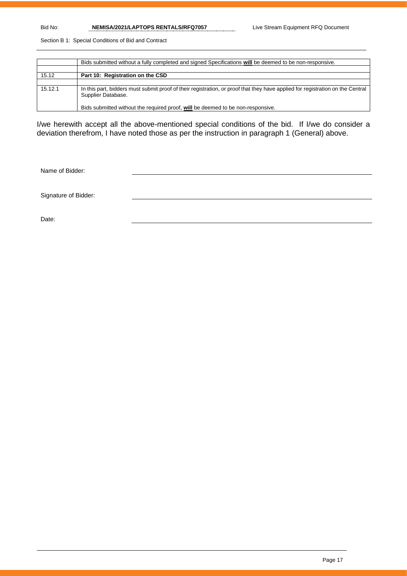Bid No: **NEMISA/2021/LAPTOPS RENTALS/RFQ7057** Live Stream Equipment RFQ Document

Section B 1: Special Conditions of Bid and Contract

|         | Bids submitted without a fully completed and signed Specifications will be deemed to be non-responsive.                                              |
|---------|------------------------------------------------------------------------------------------------------------------------------------------------------|
|         |                                                                                                                                                      |
| 15.12   | Part 10: Registration on the CSD                                                                                                                     |
|         |                                                                                                                                                      |
| 15.12.1 | In this part, bidders must submit proof of their registration, or proof that they have applied for registration on the Central<br>Supplier Database. |
|         | Bids submitted without the required proof, will be deemed to be non-responsive.                                                                      |

I/we herewith accept all the above-mentioned special conditions of the bid. If I/we do consider a deviation therefrom, I have noted those as per the instruction in paragraph 1 (General) above.

Name of Bidder:

Signature of Bidder:

Date: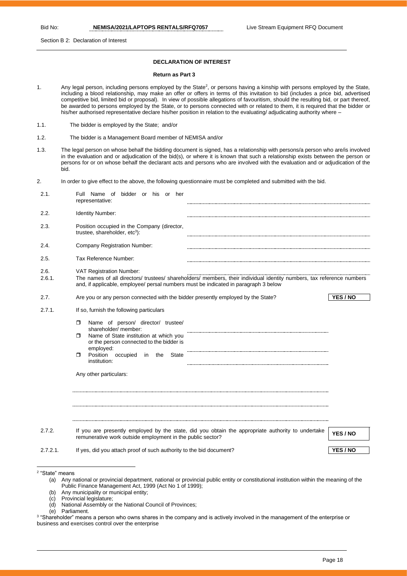Section B 2: Declaration of Interest

#### **DECLARATION OF INTEREST**

#### **Return as Part 3**

- 1. Any legal person, including persons employed by the State<sup>2</sup>, or persons having a kinship with persons employed by the State, including a blood relationship, may make an offer or offers in terms of this invitation to bid (includes a price bid, advertised competitive bid, limited bid or proposal). In view of possible allegations of favouritism, should the resulting bid, or part thereof, be awarded to persons employed by the State, or to persons connected with or related to them, it is required that the bidder or his/her authorised representative declare his/her position in relation to the evaluating/ adjudicating authority where –
- 1.1. The bidder is employed by the State; and/or
- 1.2. The bidder is a Management Board member of NEMISA and/or
- 1.3. The legal person on whose behalf the bidding document is signed, has a relationship with persons/a person who are/is involved in the evaluation and or adjudication of the bid(s), or where it is known that such a relationship exists between the person or persons for or on whose behalf the declarant acts and persons who are involved with the evaluation and or adjudication of the bid.
- 2. In order to give effect to the above, the following questionnaire must be completed and submitted with the bid.

| 2.1.                  | Full Name of bidder or his or her<br>representative:                                                                                                                                                                                                                                                             |                      |
|-----------------------|------------------------------------------------------------------------------------------------------------------------------------------------------------------------------------------------------------------------------------------------------------------------------------------------------------------|----------------------|
| 2.2.                  | Identity Number:                                                                                                                                                                                                                                                                                                 |                      |
| 2.3.                  | Position occupied in the Company (director,<br>trustee, shareholder, etc <sup>3</sup> ):                                                                                                                                                                                                                         |                      |
| 2.4.                  | <b>Company Registration Number:</b>                                                                                                                                                                                                                                                                              |                      |
| 2.5.                  | Tax Reference Number:                                                                                                                                                                                                                                                                                            |                      |
| 2.6.<br>2.6.1.        | VAT Registration Number:<br>The names of all directors/ trustees/ shareholders/ members, their individual identity numbers, tax reference numbers<br>and, if applicable, employee/ persal numbers must be indicated in paragraph 3 below                                                                         |                      |
| 2.7.                  | Are you or any person connected with the bidder presently employed by the State?                                                                                                                                                                                                                                 | YES / NO             |
| 2.7.1.                | If so, furnish the following particulars<br>Name of person/ director/ trustee/<br>п.<br>shareholder/ member:<br>Name of State institution at which you<br>п.<br>or the person connected to the bidder is<br>employed:<br>Position occupied<br>Π.<br>in<br>the<br>State<br>institution:<br>Any other particulars: |                      |
| 2.7.2.<br>$2.7.2.1$ . | If you are presently employed by the state, did you obtain the appropriate authority to undertake<br>remunerative work outside employment in the public sector?<br>If yes, did you attach proof of such authority to the bid document?                                                                           | YES / NO<br>YES / NO |
|                       |                                                                                                                                                                                                                                                                                                                  |                      |

- (a) Any national or provincial department, national or provincial public entity or constitutional institution within the meaning of the Public Finance Management Act, 1999 (Act No 1 of 1999);
- (b) Any municipality or municipal entity;
- (c) Provincial legislature;
- (d) National Assembly or the National Council of Provinces;<br>(e) Parliament
- Parliament.
- 3 "Shareholder" means a person who owns shares in the company and is actively involved in the management of the enterprise or business and exercises control over the enterprise

<sup>2</sup> "State" means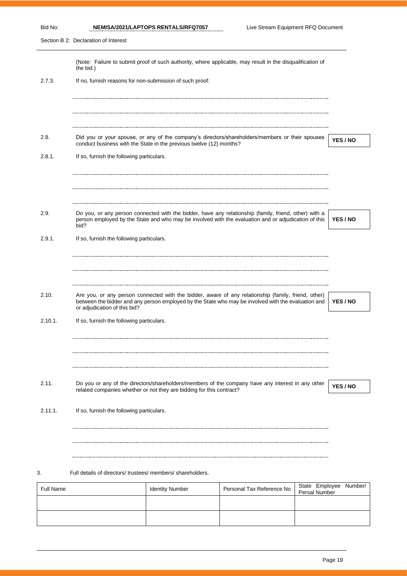Section B 2: Declaration of Interest

|                  | the bid.)                                                |                                                                      | (Note: Failure to submit proof of such authority, where applicable, may result in the disqualification of                                                                                                  |               |                        |
|------------------|----------------------------------------------------------|----------------------------------------------------------------------|------------------------------------------------------------------------------------------------------------------------------------------------------------------------------------------------------------|---------------|------------------------|
| 2.7.3.           | If no, furnish reasons for non-submission of such proof: |                                                                      |                                                                                                                                                                                                            |               |                        |
|                  |                                                          |                                                                      |                                                                                                                                                                                                            |               |                        |
|                  |                                                          |                                                                      |                                                                                                                                                                                                            |               |                        |
| 2.8.             |                                                          | conduct business with the State in the previous twelve (12) months?  | Did you or your spouse, or any of the company's directors/shareholders/members or their spouses                                                                                                            |               | YES / NO               |
| 2.8.1.           | If so, furnish the following particulars.                |                                                                      |                                                                                                                                                                                                            |               |                        |
|                  |                                                          |                                                                      |                                                                                                                                                                                                            |               |                        |
| 2.9.             |                                                          |                                                                      | Do you, or any person connected with the bidder, have any relationship (family, friend, other) with a                                                                                                      |               |                        |
|                  | bid?                                                     |                                                                      | person employed by the State and who may be involved with the evaluation and or adjudication of this                                                                                                       |               | YES / NO               |
| 2.9.1.           | If so, furnish the following particulars.                |                                                                      |                                                                                                                                                                                                            |               |                        |
|                  |                                                          |                                                                      |                                                                                                                                                                                                            |               |                        |
|                  |                                                          |                                                                      |                                                                                                                                                                                                            |               |                        |
| 2.10.            | or adjudication of this bid?                             |                                                                      | Are you, or any person connected with the bidder, aware of any relationship (family, friend, other)<br>between the bidder and any person employed by the State who may be involved with the evaluation and |               | YES / NO               |
| $2.10.1$ .       | If so, furnish the following particulars.                |                                                                      |                                                                                                                                                                                                            |               |                        |
|                  |                                                          |                                                                      |                                                                                                                                                                                                            |               |                        |
|                  |                                                          |                                                                      |                                                                                                                                                                                                            |               |                        |
| 2.11.            |                                                          | related companies whether or not they are bidding for this contract? | Do you or any of the directors/shareholders/members of the company have any interest in any other                                                                                                          |               | YES / NO               |
| 2.11.1.          | If so, furnish the following particulars.                |                                                                      |                                                                                                                                                                                                            |               |                        |
|                  |                                                          |                                                                      |                                                                                                                                                                                                            |               |                        |
|                  |                                                          |                                                                      |                                                                                                                                                                                                            |               |                        |
| 3.               | Full details of directors/trustees/members/shareholders. |                                                                      |                                                                                                                                                                                                            |               |                        |
| <b>Full Name</b> |                                                          | <b>Identity Number</b>                                               | Personal Tax Reference No                                                                                                                                                                                  | Persal Number | State Employee Number/ |
|                  |                                                          |                                                                      |                                                                                                                                                                                                            |               |                        |
|                  |                                                          |                                                                      |                                                                                                                                                                                                            |               |                        |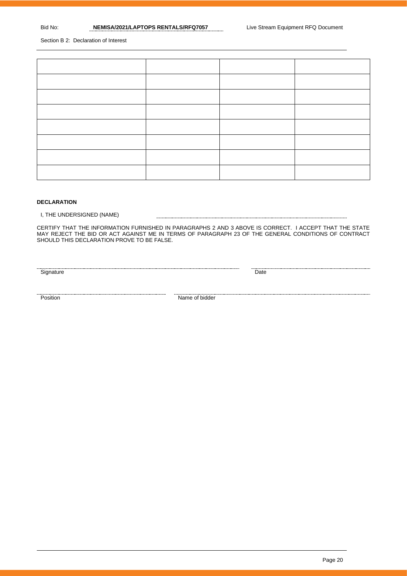Section B 2: Declaration of Interest

#### **DECLARATION**

I, THE UNDERSIGNED (NAME)

CERTIFY THAT THE INFORMATION FURNISHED IN PARAGRAPHS 2 AND 3 ABOVE IS CORRECT. I ACCEPT THAT THE STATE MAY REJECT THE BID OR ACT AGAINST ME IN TERMS OF PARAGRAPH 23 OF THE GENERAL CONDITIONS OF CONTRACT SHOULD THIS DECLARATION PROVE TO BE FALSE.

Signature Date Date

<u>Position</u> Mame of bidder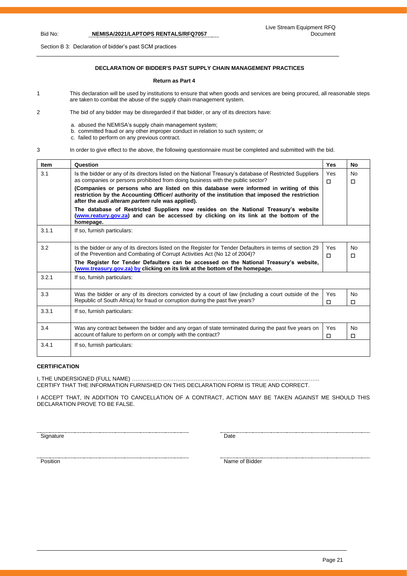#### Live Stream Equipment RFQ Document

Bid No: **NEMISA/2021/LAPTOPS RENTALS/RFQ7057**

Section B 3: Declaration of bidder's past SCM practices

## **DECLARATION OF BIDDER'S PAST SUPPLY CHAIN MANAGEMENT PRACTICES**

#### **Return as Part 4**

- 1 This declaration will be used by institutions to ensure that when goods and services are being procured, all reasonable steps are taken to combat the abuse of the supply chain management system.
- 2 The bid of any bidder may be disregarded if that bidder, or any of its directors have:
	- a. abused the NEMISA's supply chain management system;
	- b. committed fraud or any other improper conduct in relation to such system; or
	- c. failed to perform on any previous contract.

3 In order to give effect to the above, the following questionnaire must be completed and submitted with the bid.

| <b>Item</b> | Question                                                                                                                                                                                                                                              | Yes      | <b>No</b>           |
|-------------|-------------------------------------------------------------------------------------------------------------------------------------------------------------------------------------------------------------------------------------------------------|----------|---------------------|
| 3.1         | Is the bidder or any of its directors listed on the National Treasury's database of Restricted Suppliers<br>as companies or persons prohibited from doing business with the public sector?                                                            | Yes<br>п | <b>No</b><br>п      |
|             | (Companies or persons who are listed on this database were informed in writing of this<br>restriction by the Accounting Officer/ authority of the institution that imposed the restriction<br>after the <i>audi alteram partem</i> rule was applied). |          |                     |
|             | The database of Restricted Suppliers now resides on the National Treasury's website<br>(www.reatury.gov.za) and can be accessed by clicking on its link at the bottom of the<br>homepage.                                                             |          |                     |
| 3.1.1       | If so, furnish particulars:                                                                                                                                                                                                                           |          |                     |
| 3.2         | Is the bidder or any of its directors listed on the Register for Tender Defaulters in terms of section 29<br>of the Prevention and Combating of Corrupt Activities Act (No 12 of 2004)?                                                               | Yes<br>п | N <sub>0</sub><br>п |
|             | The Register for Tender Defaulters can be accessed on the National Treasury's website,<br>(www.treasury.gov.za) by clicking on its link at the bottom of the homepage.                                                                                |          |                     |
| 3.2.1       | If so, furnish particulars:                                                                                                                                                                                                                           |          |                     |
| 3.3         | Was the bidder or any of its directors convicted by a court of law (including a court outside of the<br>Republic of South Africa) for fraud or corruption during the past five years?                                                                 | Yes<br>п | No.<br>п            |
| 3.3.1       | If so, furnish particulars:                                                                                                                                                                                                                           |          |                     |
| 3.4         | Was any contract between the bidder and any organ of state terminated during the past five years on<br>account of failure to perform on or comply with the contract?                                                                                  | Yes<br>п | <b>No</b><br>п      |
| 3.4.1       | If so, furnish particulars:                                                                                                                                                                                                                           |          |                     |

#### **CERTIFICATION**

I, THE UNDERSIGNED (FULL NAME) …………………………………………………………………………………………. CERTIFY THAT THE INFORMATION FURNISHED ON THIS DECLARATION FORM IS TRUE AND CORRECT.

I ACCEPT THAT, IN ADDITION TO CANCELLATION OF A CONTRACT, ACTION MAY BE TAKEN AGAINST ME SHOULD THIS DECLARATION PROVE TO BE FALSE.

Signature Date

names and the state of Bidder and Science of Bidder Position and Science of Bidder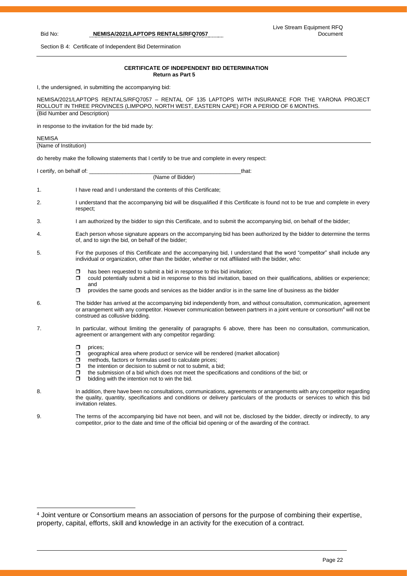Section B 4: Certificate of Independent Bid Determination

#### **CERTIFICATE OF INDEPENDENT BID DETERMINATION Return as Part 5**

I, the undersigned, in submitting the accompanying bid:

|                              | NEMISA/2021/LAPTOPS RENTALS/RFQ7057 - RENTAL OF 135 LAPTOPS WITH INSURANCE FOR THE YARONA PROJECT<br>ROLLOUT IN THREE PROVINCES (LIMPOPO, NORTH WEST, EASTERN CAPE) FOR A PERIOD OF 6 MONTHS.                                                                                                                                                                                                           |  |  |
|------------------------------|---------------------------------------------------------------------------------------------------------------------------------------------------------------------------------------------------------------------------------------------------------------------------------------------------------------------------------------------------------------------------------------------------------|--|--|
| (Bid Number and Description) | in response to the invitation for the bid made by:                                                                                                                                                                                                                                                                                                                                                      |  |  |
| <b>NEMISA</b>                |                                                                                                                                                                                                                                                                                                                                                                                                         |  |  |
| (Name of Institution)        |                                                                                                                                                                                                                                                                                                                                                                                                         |  |  |
|                              | do hereby make the following statements that I certify to be true and complete in every respect:                                                                                                                                                                                                                                                                                                        |  |  |
|                              | I certify, on behalf of:<br>that:<br>(Name of Bidder)                                                                                                                                                                                                                                                                                                                                                   |  |  |
| 1.                           | I have read and I understand the contents of this Certificate;                                                                                                                                                                                                                                                                                                                                          |  |  |
| 2.                           | I understand that the accompanying bid will be disqualified if this Certificate is found not to be true and complete in every<br>respect;                                                                                                                                                                                                                                                               |  |  |
| 3.                           | I am authorized by the bidder to sign this Certificate, and to submit the accompanying bid, on behalf of the bidder;                                                                                                                                                                                                                                                                                    |  |  |
| 4.                           | Each person whose signature appears on the accompanying bid has been authorized by the bidder to determine the terms<br>of, and to sign the bid, on behalf of the bidder;                                                                                                                                                                                                                               |  |  |
| 5.                           | For the purposes of this Certificate and the accompanying bid, I understand that the word "competitor" shall include any<br>individual or organization, other than the bidder, whether or not affiliated with the bidder, who:                                                                                                                                                                          |  |  |
|                              | has been requested to submit a bid in response to this bid invitation;<br>□<br>α.<br>could potentially submit a bid in response to this bid invitation, based on their qualifications, abilities or experience;<br>and<br>provides the same goods and services as the bidder and/or is in the same line of business as the bidder<br>□                                                                  |  |  |
| 6.                           | The bidder has arrived at the accompanying bid independently from, and without consultation, communication, agreement<br>or arrangement with any competitor. However communication between partners in a joint venture or consortium <sup>4</sup> will not be<br>construed as collusive bidding.                                                                                                        |  |  |
| 7.                           | In particular, without limiting the generality of paragraphs 6 above, there has been no consultation, communication,<br>agreement or arrangement with any competitor regarding:                                                                                                                                                                                                                         |  |  |
|                              | ο.<br>prices:<br>geographical area where product or service will be rendered (market allocation)<br>0<br>methods, factors or formulas used to calculate prices;<br>ο.<br>the intention or decision to submit or not to submit, a bid;<br>0<br>σ<br>the submission of a bid which does not meet the specifications and conditions of the bid; or<br>bidding with the intention not to win the bid.<br>Π. |  |  |
| 8.                           | In addition, there have been no consultations, communications, agreements or arrangements with any competitor regarding<br>the quality, quantity, specifications and conditions or delivery particulars of the products or services to which this bid<br>invitation relates.                                                                                                                            |  |  |
| 9.                           | The terms of the accompanying bid have not been, and will not be, disclosed by the bidder, directly or indirectly, to any<br>competitor, prior to the date and time of the official bid opening or of the awarding of the contract.                                                                                                                                                                     |  |  |

<sup>&</sup>lt;sup>4</sup> Joint venture or Consortium means an association of persons for the purpose of combining their expertise, property, capital, efforts, skill and knowledge in an activity for the execution of a contract.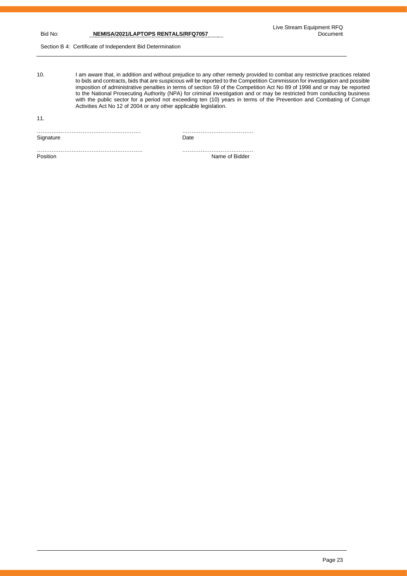Section B 4: Certificate of Independent Bid Determination

10. I am aware that, in addition and without prejudice to any other remedy provided to combat any restrictive practices related to bids and contracts, bids that are suspicious will be reported to the Competition Commission for investigation and possible imposition of administrative penalties in terms of section 59 of the Competition Act No 89 of 1998 and or may be reported to the National Prosecuting Authority (NPA) for criminal investigation and or may be restricted from conducting business with the public sector for a period not exceeding ten (10) years in terms of the Prevention and Combating of Corrupt Activities Act No 12 of 2004 or any other applicable legislation.

11.

………………………………………………… ………………………………… Signature Date

…………………………………………………. ………………………………… Position Name of Bidder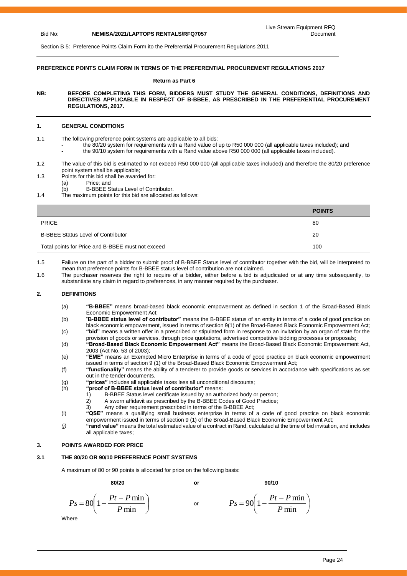Section B 5: Preference Points Claim Form ito the Preferential Procurement Regulations 2011

#### **PREFERENCE POINTS CLAIM FORM IN TERMS OF THE PREFERENTIAL PROCUREMENT REGULATIONS 2017**

#### **Return as Part 6**

**NB: BEFORE COMPLETING THIS FORM, BIDDERS MUST STUDY THE GENERAL CONDITIONS, DEFINITIONS AND DIRECTIVES APPLICABLE IN RESPECT OF B-BBEE, AS PRESCRIBED IN THE PREFERENTIAL PROCUREMENT REGULATIONS, 2017.** 

#### **1. GENERAL CONDITIONS**

- 1.1 The following preference point systems are applicable to all bids:
	- the 80/20 system for requirements with a Rand value of up to R50 000 000 (all applicable taxes included); and
	- the 90/10 system for requirements with a Rand value above R50 000 000 (all applicable taxes included).
- 1.2 The value of this bid is estimated to not exceed R50 000 000 (all applicable taxes included) and therefore the 80/20 preference point system shall be applicable;
- 1.3 Points for this bid shall be awarded for:
	- (a) Price; and
	- (b) B-BBEE Status Level of Contributor.
- 1.4 The maximum points for this bid are allocated as follows:

|                                                   | <b>POINTS</b> |
|---------------------------------------------------|---------------|
| <b>PRICE</b>                                      | -80           |
| <b>B-BBEE Status Level of Contributor</b>         | -20           |
| Total points for Price and B-BBEE must not exceed | 100           |

1.5 Failure on the part of a bidder to submit proof of B-BBEE Status level of contributor together with the bid, will be interpreted to mean that preference points for B-BBEE status level of contribution are not claimed.

1.6 The purchaser reserves the right to require of a bidder, either before a bid is adjudicated or at any time subsequently, to substantiate any claim in regard to preferences, in any manner required by the purchaser.

#### **2. DEFINITIONS**

- (a) **"B-BBEE"** means broad-based black economic empowerment as defined in section 1 of the Broad-Based Black Economic Empowerment Act;
- (b) "**B-BBEE status level of contributor"** means the B-BBEE status of an entity in terms of a code of good practice on black economic empowerment, issued in terms of section 9(1) of the Broad-Based Black Economic Empowerment Act; (c) **"bid"** means a written offer in a prescribed or stipulated form in response to an invitation by an organ of state for the
- provision of goods or services, through price quotations, advertised competitive bidding processes or proposals; (d) **"Broad-Based Black Economic Empowerment Act"** means the Broad-Based Black Economic Empowerment Act,
- 2003 (Act No. 53 of 2003); (e) **"EME"** means an Exempted Micro Enterprise in terms of a code of good practice on black economic empowerment
- issued in terms of section 9 (1) of the Broad-Based Black Economic Empowerment Act; (f) **"functionality"** means the ability of a tenderer to provide goods or services in accordance with specifications as set out in the tender documents.
- (g) **"prices"** includes all applicable taxes less all unconditional discounts;
- 
- (h) **"proof of B-BBEE status level of contributor"** means:<br>1) B-BBEE Status level certificate issued by an auth B-BBEE Status level certificate issued by an authorized body or person;
	-
	- 2) A sworn affidavit as prescribed by the B-BBEE Codes of Good Practice;<br>3) Any other requirement prescribed in terms of the B-BBEE Act: Any other requirement prescribed in terms of the B-BBEE Act;
- (i) **"QSE"** means a qualifying small business enterprise in terms of a code of good practice on black economic empowerment issued in terms of section 9 (1) of the Broad-Based Black Economic Empowerment Act;
- *(j)* **"rand value"** means the total estimated value of a contract in Rand, calculated at the time of bid invitation, and includes all applicable taxes;

#### **3. POINTS AWARDED FOR PRICE**

#### **3.1 THE 80/20 OR 90/10 PREFERENCE POINT SYSTEMS**

A maximum of 80 or 90 points is allocated for price on the following basis:

**80/20 or 90/10**

$$
Ps = 80\left(1 - \frac{Pt - P \min}{P \min}\right) \qquad \text{or} \qquad \qquad Ps = 90\left(1 - \frac{Pt - P \min}{P \min}\right)
$$

**Where** 

 $\big)$ 

 $\left(1-\frac{Pt-P\min}{P}\right)$ 

 $90\left(1-\frac{Pt-P\min}{\sum_{i=1}^{n}H_i}\right)$ *P*

min

 $\setminus$  $= 90 \left( 1 - \frac{Pt - }{F} \right)$ 

 $P_s = 90 \left( 1 - \frac{Pt - P}{r} \right)$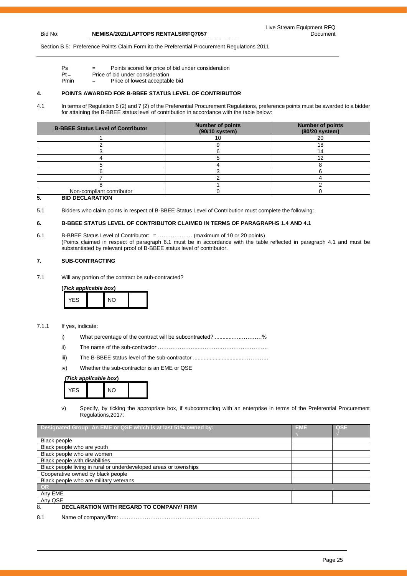Section B 5: Preference Points Claim Form ito the Preferential Procurement Regulations 2011

- Ps = Points scored for price of bid under consideration
- $Pt =$  Price of bid under consideration<br>Pmin  $=$  Price of lowest acceptable  $=$  Price of lowest acceptable bid

#### **4. POINTS AWARDED FOR B-BBEE STATUS LEVEL OF CONTRIBUTOR**

4.1 In terms of Regulation 6 (2) and 7 (2) of the Preferential Procurement Regulations, preference points must be awarded to a bidder for attaining the B-BBEE status level of contribution in accordance with the table below:

| <b>B-BBEE Status Level of Contributor</b> | <b>Number of points</b><br>(90/10 system) | <b>Number of points</b><br>(80/20 system) |
|-------------------------------------------|-------------------------------------------|-------------------------------------------|
|                                           |                                           | 20                                        |
|                                           |                                           | 18                                        |
|                                           |                                           |                                           |
|                                           |                                           |                                           |
|                                           |                                           |                                           |
|                                           |                                           |                                           |
|                                           |                                           |                                           |
|                                           |                                           |                                           |
| Non-compliant contributor                 |                                           |                                           |

#### **5. BID DECLARATION**

5.1 Bidders who claim points in respect of B-BBEE Status Level of Contribution must complete the following:

#### **6. B-BBEE STATUS LEVEL OF CONTRIBUTOR CLAIMED IN TERMS OF PARAGRAPHS 1.4 AND 4.1**

6.1 B-BBEE Status Level of Contributor: = ………….…… (maximum of 10 or 20 points) (Points claimed in respect of paragraph 6.1 must be in accordance with the table reflected in paragraph 4.1 and must be substantiated by relevant proof of B-BBEE status level of contributor.

#### **7. SUB-CONTRACTING**

7.1 Will any portion of the contract be sub-contracted?

**(***Tick applicable box***)**

| <b>YFS</b> |  | $\overline{M}$ |  |
|------------|--|----------------|--|
|------------|--|----------------|--|

#### 7.1.1 If yes, indicate:

- i) What percentage of the contract will be subcontracted? ..........................%
- ii) The name of the sub-contractor …………………..………….…………………….
- iii) The B-BBEE status level of the sub-contractor .................................…………..
- iv) Whether the sub-contractor is an EME or QSE

#### *(Tick applicable box***)**



v) Specify, by ticking the appropriate box, if subcontracting with an enterprise in terms of the Preferential Procurement Regulations,2017:

| Designated Group: An EME or QSE which is at last 51% owned by:    | <b>EME</b> | <b>QSE</b> |
|-------------------------------------------------------------------|------------|------------|
|                                                                   |            |            |
| <b>Black people</b>                                               |            |            |
| Black people who are youth                                        |            |            |
| Black people who are women                                        |            |            |
| Black people with disabilities                                    |            |            |
| Black people living in rural or underdeveloped areas or townships |            |            |
| Cooperative owned by black people                                 |            |            |
| Black people who are military veterans                            |            |            |
| OR                                                                |            |            |
| Any EME                                                           |            |            |
| Any QSE                                                           |            |            |
| <b>DECLARATION WITH REGARD TO COMPANY/ FIRM</b><br>8.             |            |            |

8.1 Name of company/firm: ….……………………………………………………………….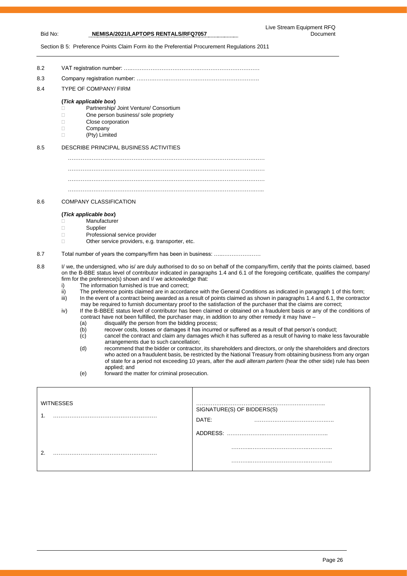#### Live Stream Equipment RFQ Document

Bid No: **NEMISA/2021/LAPTOPS RENTALS/RFQ7057**

Section B 5: Preference Points Claim Form ito the Preferential Procurement Regulations 2011

| 8.2 |                                                                                                                                                                                                                                             |
|-----|---------------------------------------------------------------------------------------------------------------------------------------------------------------------------------------------------------------------------------------------|
| 8.3 |                                                                                                                                                                                                                                             |
| 8.4 | <b>TYPE OF COMPANY/ FIRM</b>                                                                                                                                                                                                                |
|     | (Tick applicable box)                                                                                                                                                                                                                       |
|     | Partnership/ Joint Venture/ Consortium<br>П                                                                                                                                                                                                 |
|     | One person business/ sole propriety<br>П                                                                                                                                                                                                    |
|     | Close corporation<br>П                                                                                                                                                                                                                      |
|     | Company<br>П                                                                                                                                                                                                                                |
|     | (Pty) Limited<br>П                                                                                                                                                                                                                          |
| 8.5 | DESCRIBE PRINCIPAL BUSINESS ACTIVITIES                                                                                                                                                                                                      |
|     |                                                                                                                                                                                                                                             |
|     |                                                                                                                                                                                                                                             |
|     |                                                                                                                                                                                                                                             |
|     |                                                                                                                                                                                                                                             |
|     |                                                                                                                                                                                                                                             |
| 8.6 | <b>COMPANY CLASSIFICATION</b>                                                                                                                                                                                                               |
|     | (Tick applicable box)                                                                                                                                                                                                                       |
|     | Manufacturer<br>$\mathbf{L}$                                                                                                                                                                                                                |
|     | Supplier<br>$\mathbf{L}$                                                                                                                                                                                                                    |
|     | Professional service provider<br>$\Box$                                                                                                                                                                                                     |
|     | Other service providers, e.g. transporter, etc.<br>$\Box$                                                                                                                                                                                   |
| 8.7 | Total number of years the company/firm has been in business:                                                                                                                                                                                |
| 8.8 | I/ we, the undersigned, who is/ are duly authorised to do so on behalf of the company/firm, certify that the points claimed, based                                                                                                          |
|     | on the B-BBE status level of contributor indicated in paragraphs 1.4 and 6.1 of the foregoing certificate, qualifies the company/                                                                                                           |
|     | firm for the preference(s) shown and I/ we acknowledge that:                                                                                                                                                                                |
|     | The information furnished is true and correct:<br>i)                                                                                                                                                                                        |
|     | The preference points claimed are in accordance with the General Conditions as indicated in paragraph 1 of this form;<br>ii)                                                                                                                |
|     | In the event of a contract being awarded as a result of points claimed as shown in paragraphs 1.4 and 6.1, the contractor<br>iii)                                                                                                           |
|     | may be required to furnish documentary proof to the satisfaction of the purchaser that the claims are correct;<br>If the D. DDEE status land of contribution has been element on element on a framplant basic or one of the socialitions of |

iv) If the B-BBEE status level of contributor has been claimed or obtained on a fraudulent basis or any of the conditions of contract have not been fulfilled, the purchaser may, in addition to any other remedy it may have -

- (a) disqualify the person from the bidding process;<br>(b) recover costs, losses or damages it has incurre
- 
- $(b)$  recover costs, losses or damages it has incurred or suffered as a result of that person's conduct;<br>(c) cancel the contract and claim any damages which it has suffered as a result of having to make les cancel the contract and claim any damages which it has suffered as a result of having to make less favourable arrangements due to such cancellation;
- (d) recommend that the bidder or contractor, its shareholders and directors, or only the shareholders and directors who acted on a fraudulent basis, be restricted by the National Treasury from obtaining business from any organ of state for a period not exceeding 10 years, after the *audi alteram partem* (hear the other side) rule has been applied; and
- (e) forward the matter for criminal prosecution.

| ◠ | <b>WITNESSES</b> | .<br>SIGNATURE(S) OF BIDDERS(S)<br>DATE:<br>ADDRESS:<br>.<br>. |
|---|------------------|----------------------------------------------------------------|
|   |                  |                                                                |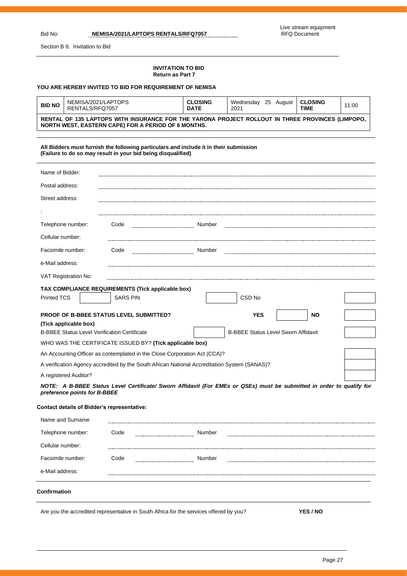j.

Bid No: **NEMISA/2021/LAPTOPS RENTALS/RFQ7057**

Section B 6: Invitation to Bid

#### **INVITATION TO BID Return as Part 7**

#### **YOU ARE HEREBY INVITED TO BID FOR REQUIREMENT OF NEMISA**

| NEMISA/2021/LAPTOPS<br><b>CLOSING</b><br>25 August   CLOSING<br>Wednesdav<br><b>BID NO</b><br>11:00<br>RENTALS/RFQ7057<br><b>DATE</b><br><b>TIME</b><br>2021   |  |  |  |  |  |
|----------------------------------------------------------------------------------------------------------------------------------------------------------------|--|--|--|--|--|
| RENTAL OF 135 LAPTOPS WITH INSURANCE FOR THE YARONA PROJECT ROLLOUT IN THREE PROVINCES (LIMPOPO,<br><b>NORTH WEST, EASTERN CAPE) FOR A PERIOD OF 6 MONTHS.</b> |  |  |  |  |  |

#### **All Bidders must furnish the following particulars and include it in their submission (Failure to do so may result in your bid being disqualified)**

| Name of Bidder:                                                                                                                                                                                                 |                                                                                                                                                                                         |                                                                                                                                                                                                                                                                                                |
|-----------------------------------------------------------------------------------------------------------------------------------------------------------------------------------------------------------------|-----------------------------------------------------------------------------------------------------------------------------------------------------------------------------------------|------------------------------------------------------------------------------------------------------------------------------------------------------------------------------------------------------------------------------------------------------------------------------------------------|
| Postal address:                                                                                                                                                                                                 |                                                                                                                                                                                         |                                                                                                                                                                                                                                                                                                |
| Street address:                                                                                                                                                                                                 |                                                                                                                                                                                         |                                                                                                                                                                                                                                                                                                |
|                                                                                                                                                                                                                 |                                                                                                                                                                                         |                                                                                                                                                                                                                                                                                                |
| Telephone number:                                                                                                                                                                                               | Code                                                                                                                                                                                    | Number                                                                                                                                                                                                                                                                                         |
| Cellular number:                                                                                                                                                                                                |                                                                                                                                                                                         |                                                                                                                                                                                                                                                                                                |
| Facsimile number:                                                                                                                                                                                               | Code                                                                                                                                                                                    | Number                                                                                                                                                                                                                                                                                         |
| e-Mail address:                                                                                                                                                                                                 |                                                                                                                                                                                         |                                                                                                                                                                                                                                                                                                |
| VAT Registration No:                                                                                                                                                                                            |                                                                                                                                                                                         |                                                                                                                                                                                                                                                                                                |
|                                                                                                                                                                                                                 | TAX COMPLIANCE REQUIREMENTS (Tick applicable box)                                                                                                                                       |                                                                                                                                                                                                                                                                                                |
| <b>Printed TCS</b>                                                                                                                                                                                              | <b>SARS PIN</b>                                                                                                                                                                         | CSD <sub>No</sub>                                                                                                                                                                                                                                                                              |
| (Tick applicable box)<br><b>B-BBEE Status Level Verification Certificate</b><br>A registered Auditor?<br>preference points for B-BBEE<br><b>Contact details of Bidder's representative:</b><br>Name and Surname | <b>PROOF OF B-BBEE STATUS LEVEL SUBMITTED?</b><br>WHO WAS THE CERTIFICATE ISSUED BY? (Tick applicable box)<br>An Accounting Officer as contemplated in the Close Corporation Act (CCA)? | <b>YES</b><br><b>NO</b><br><b>B-BBEE Status Level Sworn Affidavit</b><br>A verification Agency accredited by the South African National Accreditation System (SANAS)?<br>NOTE: A B-BBEE Status Level Certificate/ Sworn Affidavit (For EMEs or QSEs) must be submitted in order to qualify for |
| Telephone number:                                                                                                                                                                                               | Code                                                                                                                                                                                    | Number                                                                                                                                                                                                                                                                                         |
| Cellular number:                                                                                                                                                                                                |                                                                                                                                                                                         |                                                                                                                                                                                                                                                                                                |
| Facsimile number:                                                                                                                                                                                               | Code                                                                                                                                                                                    | Number                                                                                                                                                                                                                                                                                         |
| e-Mail address:                                                                                                                                                                                                 |                                                                                                                                                                                         |                                                                                                                                                                                                                                                                                                |
| Confirmation                                                                                                                                                                                                    |                                                                                                                                                                                         |                                                                                                                                                                                                                                                                                                |

Are you the accredited representative in South Africa for the services offered by you? **YES / NO**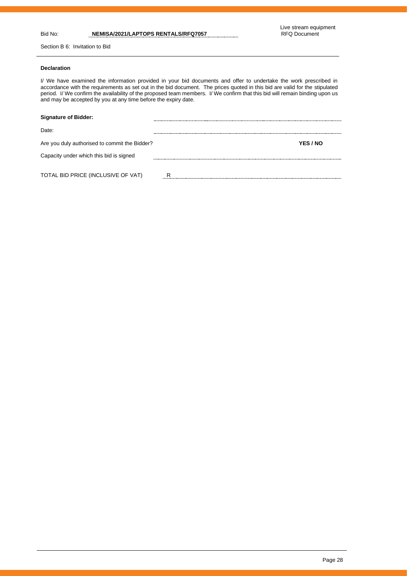Section B 6: Invitation to Bid

### **Declaration**

I/ We have examined the information provided in your bid documents and offer to undertake the work prescribed in accordance with the requirements as set out in the bid document. The prices quoted in this bid are valid for the stipulated period. I/ We confirm the availability of the proposed team members. I/ We confirm that this bid will remain binding upon us and may be accepted by you at any time before the expiry date.

| <b>Signature of Bidder:</b>                   |          |
|-----------------------------------------------|----------|
| Date:                                         |          |
| Are you duly authorised to commit the Bidder? | YES / NO |
| Capacity under which this bid is signed       |          |
| TOTAL BID PRICE (INCLUSIVE OF VAT)            | R        |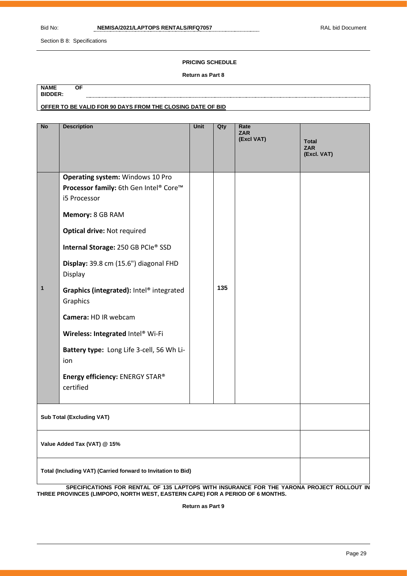Section B 8: Specifications

#### **PRICING SCHEDULE**

#### **Return as Part 8**

| <b>NAME</b>    | ΟF                                                         |
|----------------|------------------------------------------------------------|
| <b>BIDDER:</b> |                                                            |
|                | OFFER TO BE VALID FOR 90 DAYS FROM THE CLOSING DATE OF BID |

| <b>No</b>                        | <b>Description</b>                                                                                                                                                                                                                                                                                                                                                                                                                                                      | Unit | Qty | Rate<br><b>ZAR</b><br>(Excl VAT) | Total<br><b>ZAR</b><br>(Excl. VAT) |  |  |
|----------------------------------|-------------------------------------------------------------------------------------------------------------------------------------------------------------------------------------------------------------------------------------------------------------------------------------------------------------------------------------------------------------------------------------------------------------------------------------------------------------------------|------|-----|----------------------------------|------------------------------------|--|--|
| 1                                | Operating system: Windows 10 Pro<br>Processor family: 6th Gen Intel® Core™<br>i5 Processor<br>Memory: 8 GB RAM<br><b>Optical drive: Not required</b><br>Internal Storage: 250 GB PCIe® SSD<br>Display: 39.8 cm (15.6") diagonal FHD<br>Display<br>Graphics (integrated): Intel® integrated<br>Graphics<br>Camera: HD IR webcam<br>Wireless: Integrated Intel® Wi-Fi<br>Battery type: Long Life 3-cell, 56 Wh Li-<br>ion<br>Energy efficiency: ENERGY STAR®<br>certified |      | 135 |                                  |                                    |  |  |
| <b>Sub Total (Excluding VAT)</b> |                                                                                                                                                                                                                                                                                                                                                                                                                                                                         |      |     |                                  |                                    |  |  |
|                                  | Value Added Tax (VAT) @ 15%<br>Total (Including VAT) (Carried forward to Invitation to Bid)                                                                                                                                                                                                                                                                                                                                                                             |      |     |                                  |                                    |  |  |
|                                  | SPECIFICATIONS FOR RENTAL OF 135 LAPTOPS WITH INSURANCE FOR THE YARONA PROJECT ROLLOUT IN                                                                                                                                                                                                                                                                                                                                                                               |      |     |                                  |                                    |  |  |

**SPECIFICATIONS FOR RENTAL OF 135 LAPTOPS WITH INSURANCE FOR THE YARONA PROJECT ROLLOUT IN THREE PROVINCES (LIMPOPO, NORTH WEST, EASTERN CAPE) FOR A PERIOD OF 6 MONTHS.** 

**Return as Part 9**